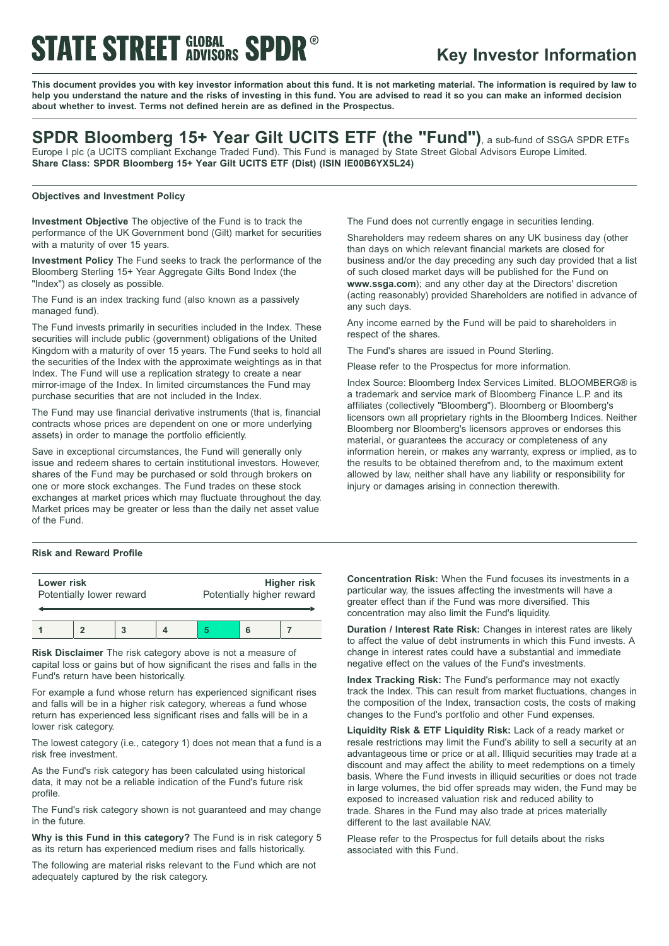# **STATE STREET GLOBAL SPDR**

# **Key Investor Information**

This document provides you with key investor information about this fund. It is not marketing material. The information is required by law to help you understand the nature and the risks of investing in this fund. You are advised to read it so you can make an informed decision **about whether to invest. Terms not defined herein are as defined in the Prospectus.**

# **SPDR Bloomberg 15+ Year Gilt UCITS ETF (the "Fund")**, <sup>a</sup> sub-fund of SSGA SPDR ETFs

Europe I plc (a UCITS compliant Exchange Traded Fund). This Fund is managed by State Street Global Advisors Europe Limited. **Share Class: SPDR Bloomberg 15+ Year Gilt UCITS ETF (Dist) (ISIN IE00B6YX5L24)**

### **Objectives and Investment Policy**

**Investment Objective** The objective of the Fund is to track the performance of the UK Government bond (Gilt) market for securities with a maturity of over 15 years.

**Investment Policy** The Fund seeks to track the performance of the Bloomberg Sterling 15+ Year Aggregate Gilts Bond Index (the "Index") as closely as possible.

The Fund is an index tracking fund (also known as a passively managed fund).

The Fund invests primarily in securities included in the Index. These securities will include public (government) obligations of the United Kingdom with a maturity of over 15 years. The Fund seeks to hold all the securities of the Index with the approximate weightings as in that Index. The Fund will use a replication strategy to create a near mirror-image of the Index. In limited circumstances the Fund may purchase securities that are not included in the Index.

The Fund may use financial derivative instruments (that is, financial contracts whose prices are dependent on one or more underlying assets) in order to manage the portfolio efficiently.

Save in exceptional circumstances, the Fund will generally only issue and redeem shares to certain institutional investors. However, shares of the Fund may be purchased or sold through brokers on one or more stock exchanges. The Fund trades on these stock exchanges at market prices which may fluctuate throughout the day. Market prices may be greater or less than the daily net asset value of the Fund.

#### **Risk and Reward Profile**

| Lower risk               |  |  |  | <b>Higher risk</b>        |  |  |
|--------------------------|--|--|--|---------------------------|--|--|
| Potentially lower reward |  |  |  | Potentially higher reward |  |  |
|                          |  |  |  |                           |  |  |

**Risk Disclaimer** The risk category above is not a measure of capital loss or gains but of how significant the rises and falls in the Fund's return have been historically.

For example a fund whose return has experienced significant rises and falls will be in a higher risk category, whereas a fund whose return has experienced less significant rises and falls will be in a lower risk category.

The lowest category (i.e., category 1) does not mean that a fund is a risk free investment.

As the Fund's risk category has been calculated using historical data, it may not be a reliable indication of the Fund's future risk profile.

The Fund's risk category shown is not guaranteed and may change in the future.

**Why is this Fund in this category?** The Fund is in risk category 5 as its return has experienced medium rises and falls historically.

The following are material risks relevant to the Fund which are not adequately captured by the risk category.

The Fund does not currently engage in securities lending.

Shareholders may redeem shares on any UK business day (other than days on which relevant financial markets are closed for business and/or the day preceding any such day provided that a list of such closed market days will be published for the Fund on **www.ssga.com**); and any other day at the Directors' discretion (acting reasonably) provided Shareholders are notified in advance of any such days.

Any income earned by the Fund will be paid to shareholders in respect of the shares.

The Fund's shares are issued in Pound Sterling.

Please refer to the Prospectus for more information.

Index Source: Bloomberg Index Services Limited. BLOOMBERG® is a trademark and service mark of Bloomberg Finance L.P. and its affiliates (collectively "Bloomberg"). Bloomberg or Bloomberg's licensors own all proprietary rights in the Bloomberg Indices. Neither Bloomberg nor Bloomberg's licensors approves or endorses this material, or guarantees the accuracy or completeness of any information herein, or makes any warranty, express or implied, as to the results to be obtained therefrom and, to the maximum extent allowed by law, neither shall have any liability or responsibility for injury or damages arising in connection therewith.

**Concentration Risk:** When the Fund focuses its investments in a particular way, the issues affecting the investments will have a greater effect than if the Fund was more diversified. This concentration may also limit the Fund's liquidity.

**Duration / Interest Rate Risk:** Changes in interest rates are likely to affect the value of debt instruments in which this Fund invests. A change in interest rates could have a substantial and immediate negative effect on the values of the Fund's investments.

**Index Tracking Risk:** The Fund's performance may not exactly track the Index. This can result from market fluctuations, changes in the composition of the Index, transaction costs, the costs of making changes to the Fund's portfolio and other Fund expenses.

**Liquidity Risk & ETF Liquidity Risk:** Lack of a ready market or resale restrictions may limit the Fund's ability to sell a security at an advantageous time or price or at all. Illiquid securities may trade at a discount and may affect the ability to meet redemptions on a timely basis. Where the Fund invests in illiquid securities or does not trade in large volumes, the bid offer spreads may widen, the Fund may be exposed to increased valuation risk and reduced ability to trade. Shares in the Fund may also trade at prices materially different to the last available NAV.

Please refer to the Prospectus for full details about the risks associated with this Fund.